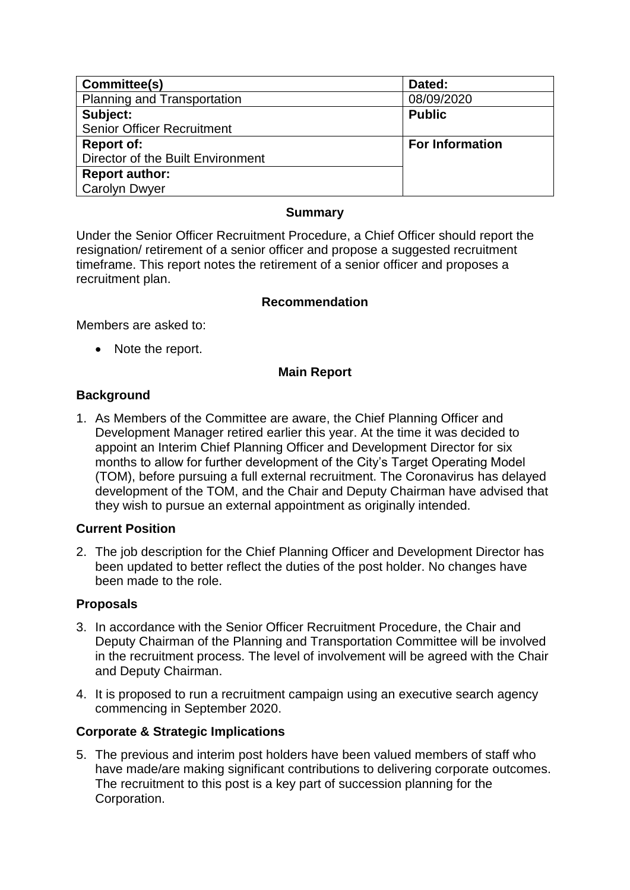| Committee(s)                      | Dated:                 |
|-----------------------------------|------------------------|
| Planning and Transportation       | 08/09/2020             |
| Subject:                          | <b>Public</b>          |
| <b>Senior Officer Recruitment</b> |                        |
| <b>Report of:</b>                 | <b>For Information</b> |
| Director of the Built Environment |                        |
| <b>Report author:</b>             |                        |
| <b>Carolyn Dwyer</b>              |                        |

### **Summary**

Under the Senior Officer Recruitment Procedure, a Chief Officer should report the resignation/ retirement of a senior officer and propose a suggested recruitment timeframe. This report notes the retirement of a senior officer and proposes a recruitment plan.

### **Recommendation**

Members are asked to:

• Note the report.

### **Main Report**

### **Background**

1. As Members of the Committee are aware, the Chief Planning Officer and Development Manager retired earlier this year. At the time it was decided to appoint an Interim Chief Planning Officer and Development Director for six months to allow for further development of the City's Target Operating Model (TOM), before pursuing a full external recruitment. The Coronavirus has delayed development of the TOM, and the Chair and Deputy Chairman have advised that they wish to pursue an external appointment as originally intended.

### **Current Position**

2. The job description for the Chief Planning Officer and Development Director has been updated to better reflect the duties of the post holder. No changes have been made to the role.

### **Proposals**

- 3. In accordance with the Senior Officer Recruitment Procedure, the Chair and Deputy Chairman of the Planning and Transportation Committee will be involved in the recruitment process. The level of involvement will be agreed with the Chair and Deputy Chairman.
- 4. It is proposed to run a recruitment campaign using an executive search agency commencing in September 2020.

## **Corporate & Strategic Implications**

5. The previous and interim post holders have been valued members of staff who have made/are making significant contributions to delivering corporate outcomes. The recruitment to this post is a key part of succession planning for the Corporation.